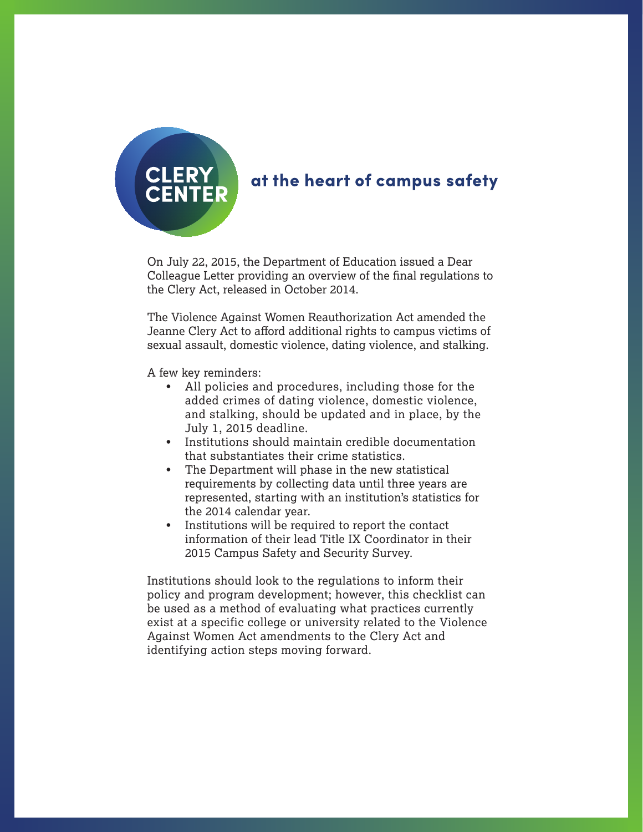

#### at the heart of campus safety

On July 22, 2015, the Department of Education issued a Dear Colleague Letter providing an overview of the final regulations to the Clery Act, released in October 2014.

The Violence Against Women Reauthorization Act amended the Jeanne Clery Act to afford additional rights to campus victims of sexual assault, domestic violence, dating violence, and stalking.

A few key reminders:

- All policies and procedures, including those for the added crimes of dating violence, domestic violence, and stalking, should be updated and in place, by the July 1, 2015 deadline.
- Institutions should maintain credible documentation that substantiates their crime statistics.
- The Department will phase in the new statistical requirements by collecting data until three years are represented, starting with an institution's statistics for the 2014 calendar year.
- Institutions will be required to report the contact information of their lead Title IX Coordinator in their 2015 Campus Safety and Security Survey.

Institutions should look to the regulations to inform their policy and program development; however, this checklist can be used as a method of evaluating what practices currently exist at a specific college or university related to the Violence Against Women Act amendments to the Clery Act and identifying action steps moving forward.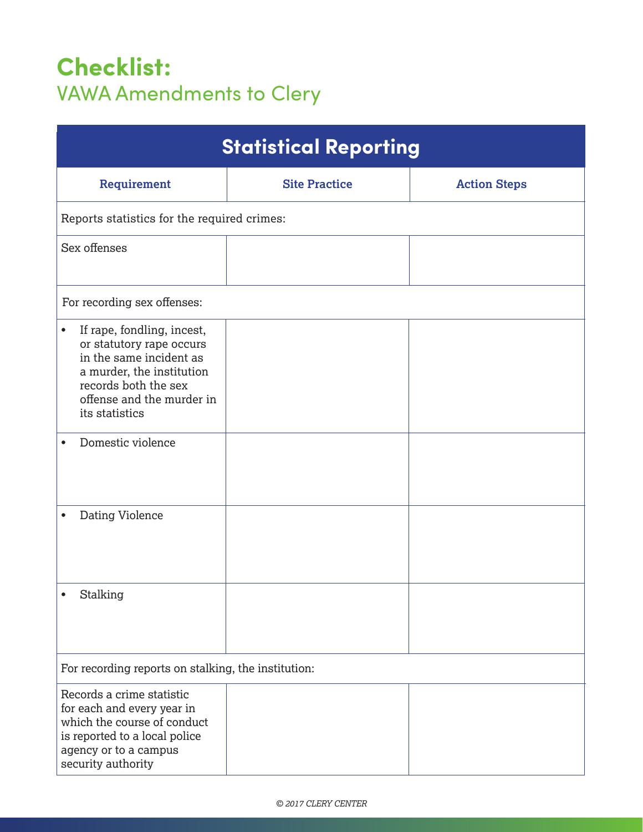## **Checklist:** VAWA Amendments to Clery

| <b>Statistical Reporting</b>                                                                                                                                                                       |                      |                     |
|----------------------------------------------------------------------------------------------------------------------------------------------------------------------------------------------------|----------------------|---------------------|
| <b>Requirement</b>                                                                                                                                                                                 | <b>Site Practice</b> | <b>Action Steps</b> |
| Reports statistics for the required crimes:                                                                                                                                                        |                      |                     |
| Sex offenses                                                                                                                                                                                       |                      |                     |
| For recording sex offenses:                                                                                                                                                                        |                      |                     |
| If rape, fondling, incest,<br>$\bullet$<br>or statutory rape occurs<br>in the same incident as<br>a murder, the institution<br>records both the sex<br>offense and the murder in<br>its statistics |                      |                     |
| Domestic violence<br>$\bullet$                                                                                                                                                                     |                      |                     |
| Dating Violence<br>$\bullet$                                                                                                                                                                       |                      |                     |
| Stalking                                                                                                                                                                                           |                      |                     |
| For recording reports on stalking, the institution:                                                                                                                                                |                      |                     |
| Records a crime statistic<br>for each and every year in<br>which the course of conduct<br>is reported to a local police<br>agency or to a campus<br>security authority                             |                      |                     |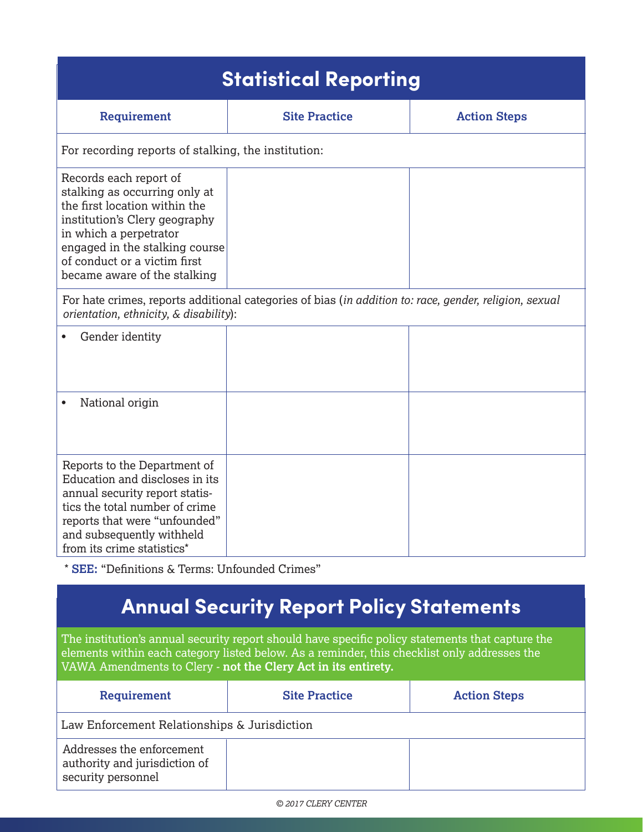| <b>Statistical Reporting</b>                                                                                                                                                                                                                                                     |                      |                     |  |
|----------------------------------------------------------------------------------------------------------------------------------------------------------------------------------------------------------------------------------------------------------------------------------|----------------------|---------------------|--|
| <b>Requirement</b>                                                                                                                                                                                                                                                               | <b>Site Practice</b> | <b>Action Steps</b> |  |
| For recording reports of stalking, the institution:                                                                                                                                                                                                                              |                      |                     |  |
| Records each report of<br>stalking as occurring only at<br>the first location within the<br>institution's Clery geography<br>in which a perpetrator<br>engaged in the stalking course<br>of conduct or a victim first<br>became aware of the stalking                            |                      |                     |  |
| For hate crimes, reports additional categories of bias (in addition to: race, gender, religion, sexual<br>orientation, ethnicity, & disability):                                                                                                                                 |                      |                     |  |
| Gender identity                                                                                                                                                                                                                                                                  |                      |                     |  |
| National origin                                                                                                                                                                                                                                                                  |                      |                     |  |
| Reports to the Department of<br>Education and discloses in its<br>annual security report statis-<br>tics the total number of crime<br>reports that were "unfounded"<br>and subsequently withheld<br>from its crime statistics*<br>* SEE: "Definitions & Terms: Unfounded Crimes" |                      |                     |  |

| Requirement                                                                      | <b>Site Practice</b> | <b>Action Steps</b> |
|----------------------------------------------------------------------------------|----------------------|---------------------|
| Law Enforcement Relationships & Jurisdiction                                     |                      |                     |
| Addresses the enforcement<br>authority and jurisdiction of<br>security personnel |                      |                     |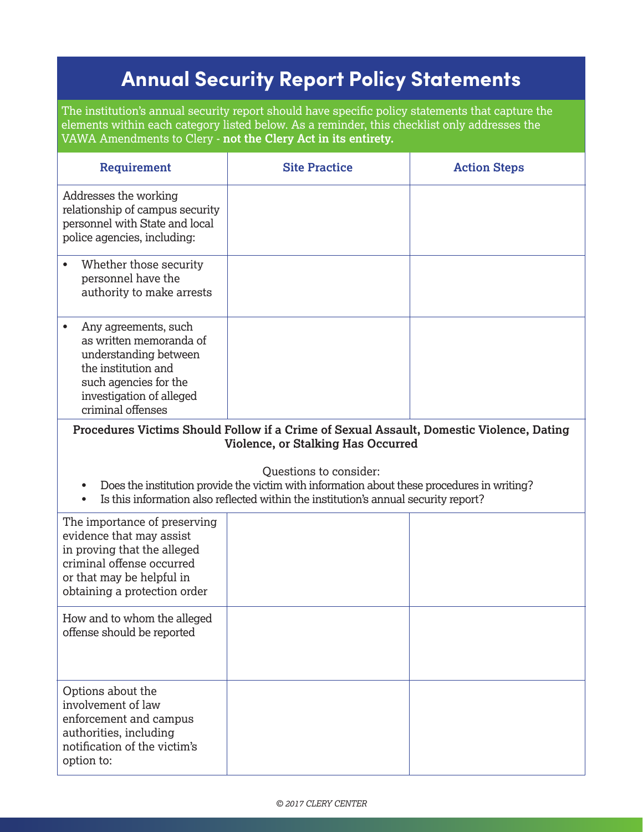| Requirement                                                                                                                                                                       | <b>Site Practice</b>                                                                                                                                                               | <b>Action Steps</b> |
|-----------------------------------------------------------------------------------------------------------------------------------------------------------------------------------|------------------------------------------------------------------------------------------------------------------------------------------------------------------------------------|---------------------|
| Addresses the working<br>relationship of campus security<br>personnel with State and local<br>police agencies, including:                                                         |                                                                                                                                                                                    |                     |
| Whether those security<br>personnel have the<br>authority to make arrests                                                                                                         |                                                                                                                                                                                    |                     |
| Any agreements, such<br>as written memoranda of<br>understanding between<br>the institution and<br>such agencies for the<br>investigation of alleged<br>criminal offenses         |                                                                                                                                                                                    |                     |
|                                                                                                                                                                                   | Procedures Victims Should Follow if a Crime of Sexual Assault, Domestic Violence, Dating<br><b>Violence, or Stalking Has Occurred</b>                                              |                     |
|                                                                                                                                                                                   | Questions to consider:                                                                                                                                                             |                     |
|                                                                                                                                                                                   | Does the institution provide the victim with information about these procedures in writing?<br>Is this information also reflected within the institution's annual security report? |                     |
| The importance of preserving<br>evidence that may assist<br>in proving that the alleged<br>criminal offense occurred<br>or that may be helpful in<br>obtaining a protection order |                                                                                                                                                                                    |                     |
| How and to whom the alleged<br>offense should be reported                                                                                                                         |                                                                                                                                                                                    |                     |
| Options about the<br>involvement of law<br>enforcement and campus<br>authorities, including<br>notification of the victim's<br>option to:                                         |                                                                                                                                                                                    |                     |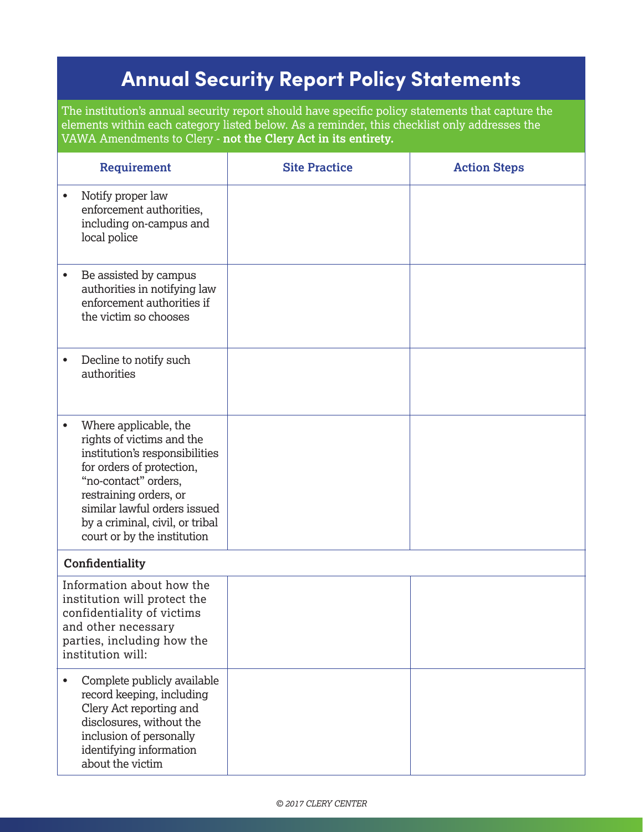| Requirement                                                                                                                                                                                                                                                           | <b>Site Practice</b> | <b>Action Steps</b> |
|-----------------------------------------------------------------------------------------------------------------------------------------------------------------------------------------------------------------------------------------------------------------------|----------------------|---------------------|
| Notify proper law<br>$\bullet$<br>enforcement authorities,<br>including on-campus and<br>local police                                                                                                                                                                 |                      |                     |
| Be assisted by campus<br>$\bullet$<br>authorities in notifying law<br>enforcement authorities if<br>the victim so chooses                                                                                                                                             |                      |                     |
| Decline to notify such<br>$\bullet$<br>authorities                                                                                                                                                                                                                    |                      |                     |
| Where applicable, the<br>rights of victims and the<br>institution's responsibilities<br>for orders of protection,<br>"no-contact" orders,<br>restraining orders, or<br>similar lawful orders issued<br>by a criminal, civil, or tribal<br>court or by the institution |                      |                     |
| Confidentiality                                                                                                                                                                                                                                                       |                      |                     |
| Information about how the<br>institution will protect the<br>confidentiality of victims<br>and other necessary<br>parties, including how the<br>institution will:                                                                                                     |                      |                     |
| Complete publicly available<br>$\bullet$<br>record keeping, including<br>Clery Act reporting and<br>disclosures, without the<br>inclusion of personally<br>identifying information<br>about the victim                                                                |                      |                     |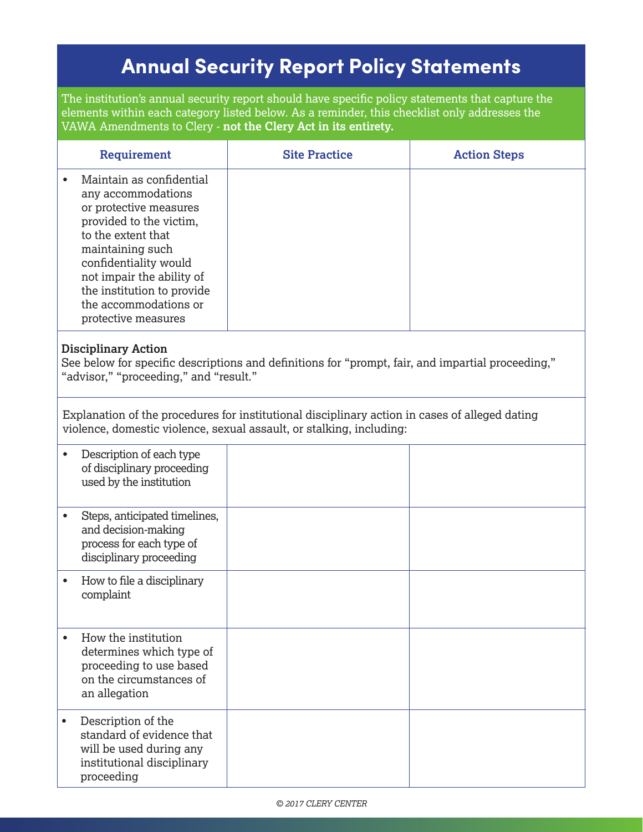| <b>Requirement</b>                                                                                                                                                                                                                                                                | <b>Site Practice</b>                                                                                                                                                   | <b>Action Steps</b> |
|-----------------------------------------------------------------------------------------------------------------------------------------------------------------------------------------------------------------------------------------------------------------------------------|------------------------------------------------------------------------------------------------------------------------------------------------------------------------|---------------------|
| Maintain as confidential<br>any accommodations<br>or protective measures<br>provided to the victim,<br>to the extent that<br>maintaining such<br>confidentiality would<br>not impair the ability of<br>the institution to provide<br>the accommodations or<br>protective measures |                                                                                                                                                                        |                     |
| <b>Disciplinary Action</b><br>"advisor," "proceeding," and "result."                                                                                                                                                                                                              | See below for specific descriptions and definitions for "prompt, fair, and impartial proceeding,"                                                                      |                     |
|                                                                                                                                                                                                                                                                                   | Explanation of the procedures for institutional disciplinary action in cases of alleged dating<br>violence, domestic violence, sexual assault, or stalking, including: |                     |
| Description of each type<br>$\bullet$<br>of disciplinary proceeding<br>used by the institution                                                                                                                                                                                    |                                                                                                                                                                        |                     |
| Steps, anticipated timelines,<br>and decision-making<br>process for each type of<br>disciplinary proceeding                                                                                                                                                                       |                                                                                                                                                                        |                     |
| How to file a disciplinary<br>$\bullet$<br>complaint                                                                                                                                                                                                                              |                                                                                                                                                                        |                     |
| How the institution<br>$\bullet$<br>determines which type of<br>proceeding to use based<br>on the circumstances of<br>an allegation                                                                                                                                               |                                                                                                                                                                        |                     |
| Description of the<br>$\bullet$<br>standard of evidence that<br>will be used during any<br>institutional disciplinary<br>proceeding                                                                                                                                               |                                                                                                                                                                        |                     |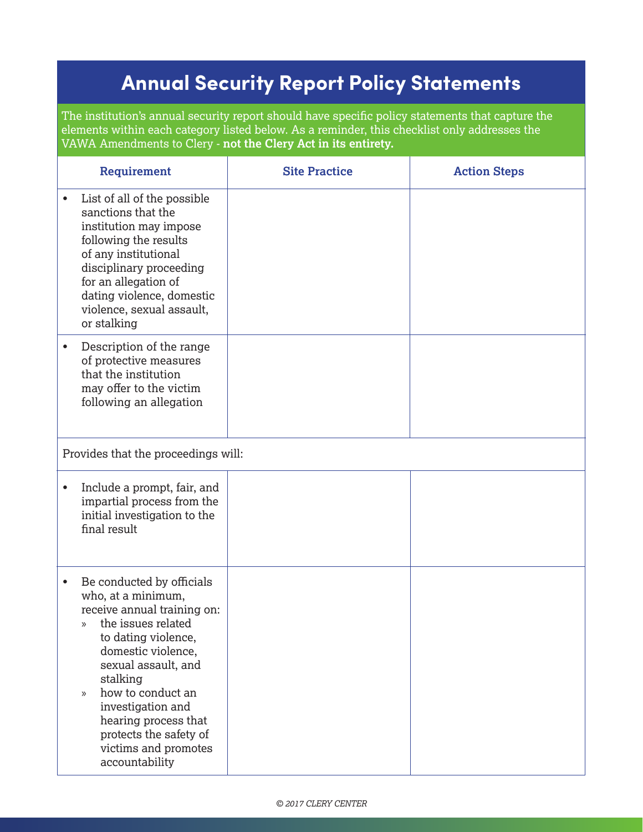|                                     | Requirement                                                                                                                                                                                                                                                                                                                | <b>Site Practice</b> | <b>Action Steps</b> |
|-------------------------------------|----------------------------------------------------------------------------------------------------------------------------------------------------------------------------------------------------------------------------------------------------------------------------------------------------------------------------|----------------------|---------------------|
| $\bullet$                           | List of all of the possible<br>sanctions that the<br>institution may impose<br>following the results<br>of any institutional<br>disciplinary proceeding<br>for an allegation of<br>dating violence, domestic<br>violence, sexual assault,<br>or stalking                                                                   |                      |                     |
| $\bullet$                           | Description of the range<br>of protective measures<br>that the institution<br>may offer to the victim<br>following an allegation                                                                                                                                                                                           |                      |                     |
|                                     | Provides that the proceedings will:                                                                                                                                                                                                                                                                                        |                      |                     |
| $\bullet$                           | Include a prompt, fair, and<br>impartial process from the<br>initial investigation to the<br>final result                                                                                                                                                                                                                  |                      |                     |
| $\bullet$<br>$\gg$<br>$\mathcal{Y}$ | Be conducted by officials<br>who, at a minimum,<br>receive annual training on:<br>the issues related<br>to dating violence,<br>domestic violence,<br>sexual assault, and<br>stalking<br>how to conduct an<br>investigation and<br>hearing process that<br>protects the safety of<br>victims and promotes<br>accountability |                      |                     |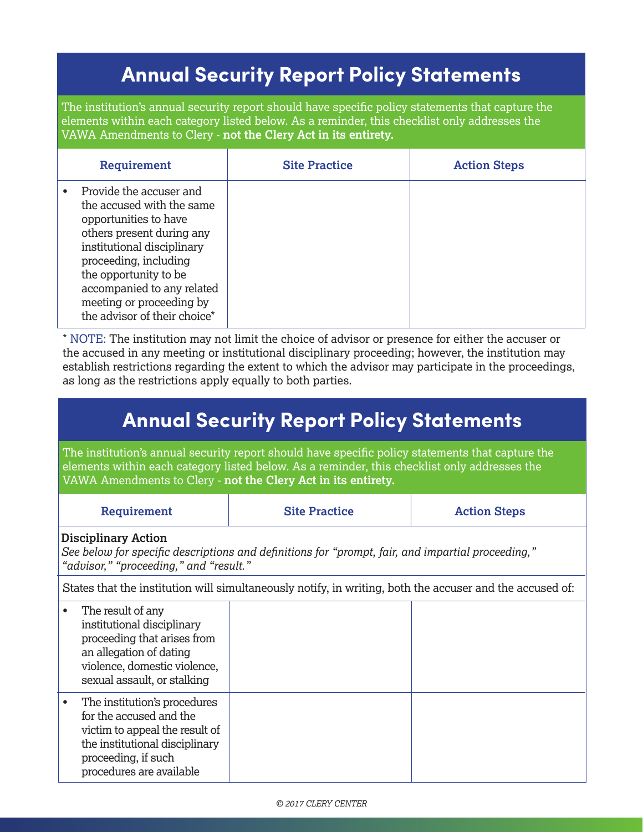The institution's annual security report should have specific policy statements that capture the elements within each category listed below. As a reminder, this checklist only addresses the VAWA Amendments to Clery - **not the Clery Act in its entirety.**

| Requirement                                                                                                                                                                                                                                                                          | <b>Site Practice</b> | <b>Action Steps</b> |
|--------------------------------------------------------------------------------------------------------------------------------------------------------------------------------------------------------------------------------------------------------------------------------------|----------------------|---------------------|
| Provide the accuser and<br>the accused with the same<br>opportunities to have<br>others present during any<br>institutional disciplinary<br>proceeding, including<br>the opportunity to be<br>accompanied to any related<br>meeting or proceeding by<br>the advisor of their choice* |                      |                     |

\* NOTE: The institution may not limit the choice of advisor or presence for either the accuser or the accused in any meeting or institutional disciplinary proceeding; however, the institution may establish restrictions regarding the extent to which the advisor may participate in the proceedings, as long as the restrictions apply equally to both parties.

| <b>Annual Security Report Policy Statements</b>                                                                                                                                                                                                                   |                                                                                                                                                                                |                                                                                                          |                     |
|-------------------------------------------------------------------------------------------------------------------------------------------------------------------------------------------------------------------------------------------------------------------|--------------------------------------------------------------------------------------------------------------------------------------------------------------------------------|----------------------------------------------------------------------------------------------------------|---------------------|
| The institution's annual security report should have specific policy statements that capture the<br>elements within each category listed below. As a reminder, this checklist only addresses the<br>VAWA Amendments to Clery - not the Clery Act in its entirety. |                                                                                                                                                                                |                                                                                                          |                     |
|                                                                                                                                                                                                                                                                   | <b>Requirement</b>                                                                                                                                                             | <b>Site Practice</b>                                                                                     | <b>Action Steps</b> |
| <b>Disciplinary Action</b><br>"See below for specific descriptions and definitions for "prompt, fair, and impartial proceeding,"<br>"advisor," "proceeding," and "result."                                                                                        |                                                                                                                                                                                |                                                                                                          |                     |
|                                                                                                                                                                                                                                                                   |                                                                                                                                                                                | States that the institution will simultaneously notify, in writing, both the accuser and the accused of: |                     |
| $\bullet$                                                                                                                                                                                                                                                         | The result of any<br>institutional disciplinary<br>proceeding that arises from<br>an allegation of dating<br>violence, domestic violence,<br>sexual assault, or stalking       |                                                                                                          |                     |
| $\bullet$                                                                                                                                                                                                                                                         | The institution's procedures<br>for the accused and the<br>victim to appeal the result of<br>the institutional disciplinary<br>proceeding, if such<br>procedures are available |                                                                                                          |                     |

#### *© 2017 CLERY CENTER*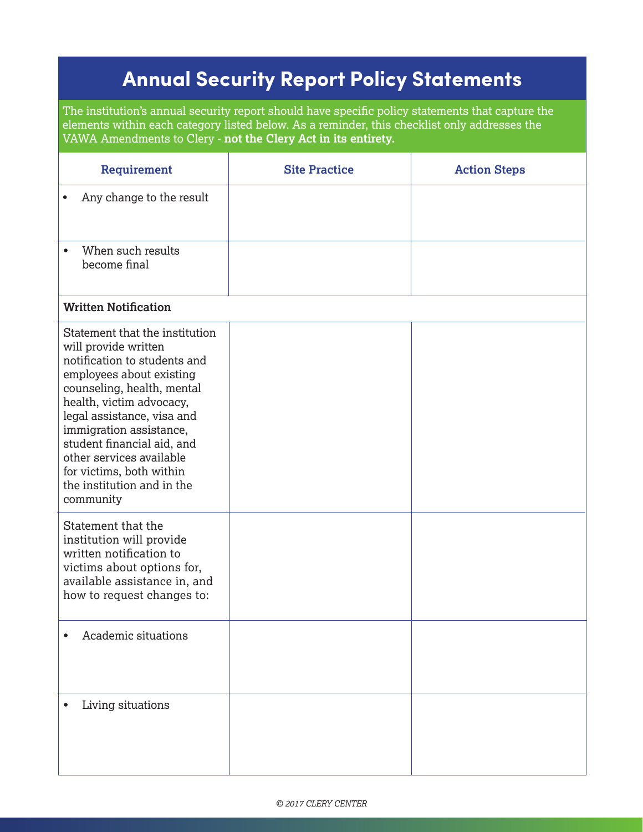| Requirement                                                                                                                                                                                                                                                                                                                                                            | <b>Site Practice</b> | <b>Action Steps</b> |
|------------------------------------------------------------------------------------------------------------------------------------------------------------------------------------------------------------------------------------------------------------------------------------------------------------------------------------------------------------------------|----------------------|---------------------|
| Any change to the result<br>$\bullet$                                                                                                                                                                                                                                                                                                                                  |                      |                     |
| When such results<br>$\bullet$<br>become final                                                                                                                                                                                                                                                                                                                         |                      |                     |
| <b>Written Notification</b>                                                                                                                                                                                                                                                                                                                                            |                      |                     |
| Statement that the institution<br>will provide written<br>notification to students and<br>employees about existing<br>counseling, health, mental<br>health, victim advocacy,<br>legal assistance, visa and<br>immigration assistance,<br>student financial aid, and<br>other services available<br>for victims, both within<br>the institution and in the<br>community |                      |                     |
| Statement that the<br>institution will provide<br>written notification to<br>victims about options for,<br>available assistance in, and<br>how to request changes to:                                                                                                                                                                                                  |                      |                     |
| Academic situations                                                                                                                                                                                                                                                                                                                                                    |                      |                     |
| Living situations<br>٠                                                                                                                                                                                                                                                                                                                                                 |                      |                     |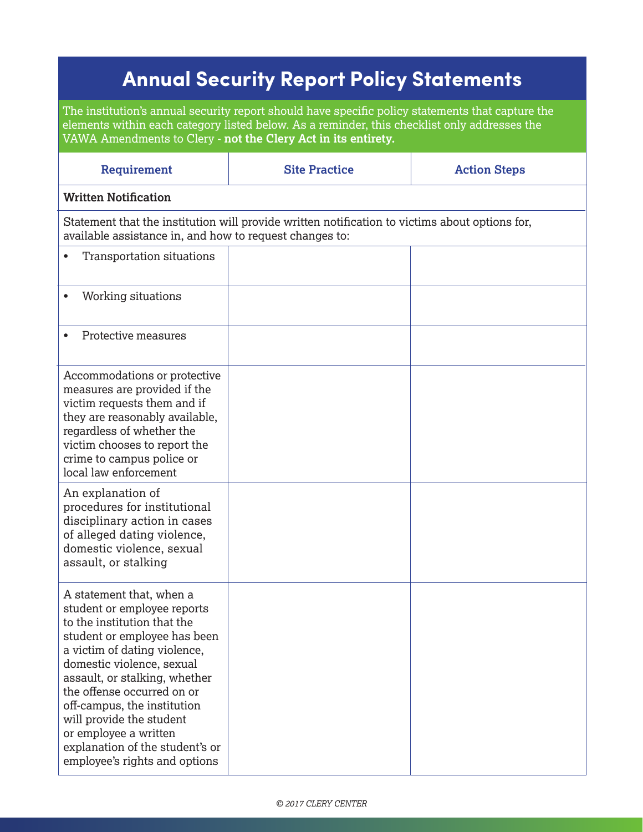| <b>Requirement</b>                                                                                                                                                                                                                                                                                                                                                                                         | <b>Site Practice</b>                                                                           | <b>Action Steps</b> |
|------------------------------------------------------------------------------------------------------------------------------------------------------------------------------------------------------------------------------------------------------------------------------------------------------------------------------------------------------------------------------------------------------------|------------------------------------------------------------------------------------------------|---------------------|
| <b>Written Notification</b>                                                                                                                                                                                                                                                                                                                                                                                |                                                                                                |                     |
| available assistance in, and how to request changes to:                                                                                                                                                                                                                                                                                                                                                    | Statement that the institution will provide written notification to victims about options for, |                     |
| <b>Transportation situations</b>                                                                                                                                                                                                                                                                                                                                                                           |                                                                                                |                     |
| Working situations                                                                                                                                                                                                                                                                                                                                                                                         |                                                                                                |                     |
| Protective measures                                                                                                                                                                                                                                                                                                                                                                                        |                                                                                                |                     |
| Accommodations or protective<br>measures are provided if the<br>victim requests them and if<br>they are reasonably available,<br>regardless of whether the<br>victim chooses to report the<br>crime to campus police or<br>local law enforcement                                                                                                                                                           |                                                                                                |                     |
| An explanation of<br>procedures for institutional<br>disciplinary action in cases<br>of alleged dating violence,<br>domestic violence, sexual<br>assault, or stalking                                                                                                                                                                                                                                      |                                                                                                |                     |
| A statement that, when a<br>student or employee reports<br>to the institution that the<br>student or employee has been<br>a victim of dating violence,<br>domestic violence, sexual<br>assault, or stalking, whether<br>the offense occurred on or<br>off-campus, the institution<br>will provide the student<br>or employee a written<br>explanation of the student's or<br>employee's rights and options |                                                                                                |                     |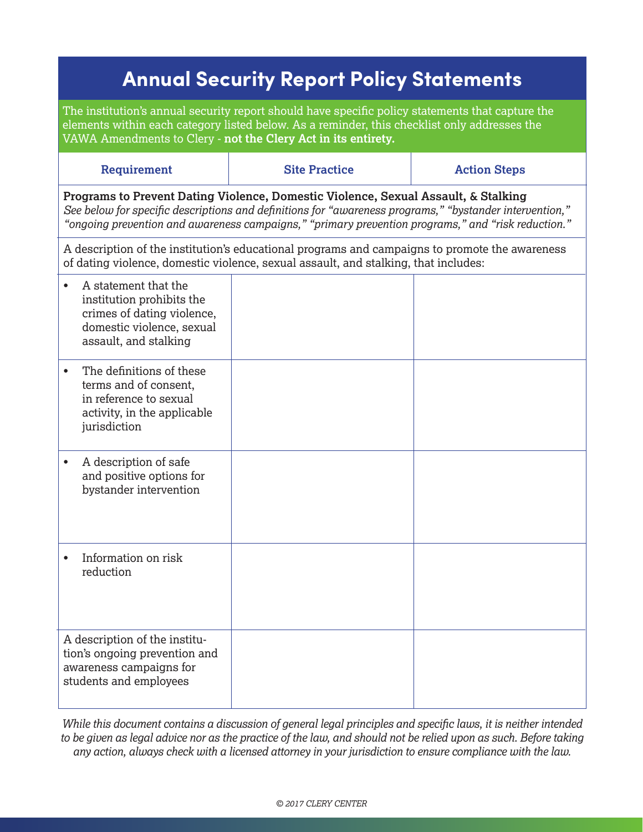т

The institution's annual security report should have specific policy statements that capture the elements within each category listed below. As a reminder, this checklist only addresses the VAWA Amendments to Clery - **not the Clery Act in its entirety.**

T

| <b>Requirement</b>                                                                                                                      | <b>Site Practice</b>                                                                                                                                                                                                                                                                                | <b>Action Steps</b> |
|-----------------------------------------------------------------------------------------------------------------------------------------|-----------------------------------------------------------------------------------------------------------------------------------------------------------------------------------------------------------------------------------------------------------------------------------------------------|---------------------|
|                                                                                                                                         | Programs to Prevent Dating Violence, Domestic Violence, Sexual Assault, & Stalking<br>See below for specific descriptions and definitions for "awareness programs," "bystander intervention,"<br>"ongoing prevention and awareness campaigns," "primary prevention programs," and "risk reduction." |                     |
|                                                                                                                                         | A description of the institution's educational programs and campaigns to promote the awareness<br>of dating violence, domestic violence, sexual assault, and stalking, that includes:                                                                                                               |                     |
| A statement that the<br>institution prohibits the<br>crimes of dating violence,<br>domestic violence, sexual<br>assault, and stalking   |                                                                                                                                                                                                                                                                                                     |                     |
| The definitions of these<br>$\bullet$<br>terms and of consent.<br>in reference to sexual<br>activity, in the applicable<br>jurisdiction |                                                                                                                                                                                                                                                                                                     |                     |
| A description of safe<br>and positive options for<br>bystander intervention                                                             |                                                                                                                                                                                                                                                                                                     |                     |
| Information on risk<br>reduction                                                                                                        |                                                                                                                                                                                                                                                                                                     |                     |
| A description of the institu-<br>tion's ongoing prevention and<br>awareness campaigns for<br>students and employees                     |                                                                                                                                                                                                                                                                                                     |                     |

*While this document contains a discussion of general legal principles and specific laws, it is neither intended to be given as legal advice nor as the practice of the law, and should not be relied upon as such. Before taking any action, always check with a licensed attorney in your jurisdiction to ensure compliance with the law.*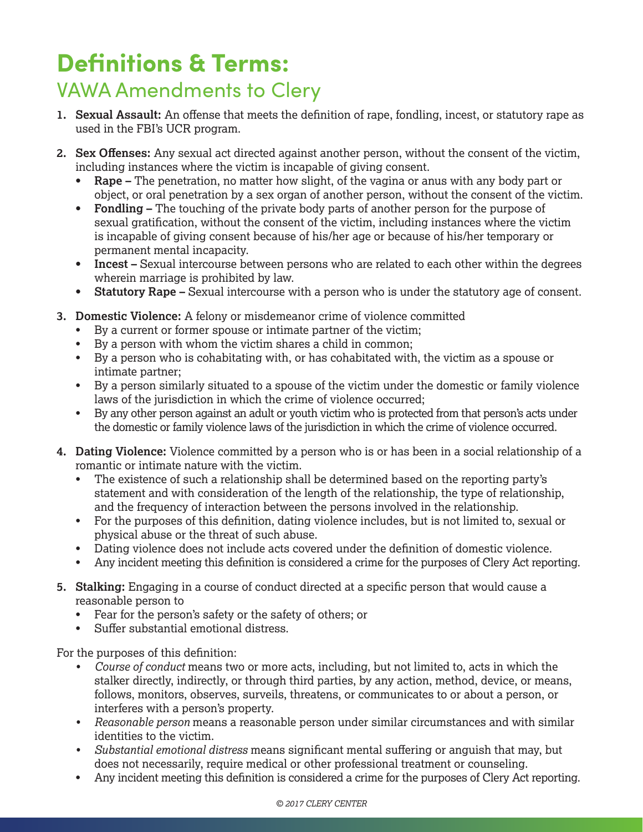## **Definitions & Terms:** VAWA Amendments to Clery

- **1. Sexual Assault:** An offense that meets the definition of rape, fondling, incest, or statutory rape as used in the FBI's UCR program.
- **2. Sex Offenses:** Any sexual act directed against another person, without the consent of the victim, including instances where the victim is incapable of giving consent.
	- **• Rape** The penetration, no matter how slight, of the vagina or anus with any body part or object, or oral penetration by a sex organ of another person, without the consent of the victim.
	- **• Fondling –** The touching of the private body parts of another person for the purpose of sexual gratification, without the consent of the victim, including instances where the victim is incapable of giving consent because of his/her age or because of his/her temporary or permanent mental incapacity.
	- **• Incest –** Sexual intercourse between persons who are related to each other within the degrees wherein marriage is prohibited by law.
	- **• Statutory Rape –** Sexual intercourse with a person who is under the statutory age of consent.
- **3. Domestic Violence:** A felony or misdemeanor crime of violence committed
	- By a current or former spouse or intimate partner of the victim;
	- By a person with whom the victim shares a child in common;
	- By a person who is cohabitating with, or has cohabitated with, the victim as a spouse or intimate partner;
	- By a person similarly situated to a spouse of the victim under the domestic or family violence laws of the jurisdiction in which the crime of violence occurred;
	- By any other person against an adult or youth victim who is protected from that person's acts under the domestic or family violence laws of the jurisdiction in which the crime of violence occurred.
- **4. Dating Violence:** Violence committed by a person who is or has been in a social relationship of a romantic or intimate nature with the victim.
	- The existence of such a relationship shall be determined based on the reporting party's statement and with consideration of the length of the relationship, the type of relationship, and the frequency of interaction between the persons involved in the relationship.
	- For the purposes of this definition, dating violence includes, but is not limited to, sexual or physical abuse or the threat of such abuse.
	- Dating violence does not include acts covered under the definition of domestic violence.
	- Any incident meeting this definition is considered a crime for the purposes of Clery Act reporting.
- **5. Stalking:** Engaging in a course of conduct directed at a specific person that would cause a reasonable person to
	- Fear for the person's safety or the safety of others; or
	- Suffer substantial emotional distress.

For the purposes of this definition:

- *• Course of conduct* means two or more acts, including, but not limited to, acts in which the stalker directly, indirectly, or through third parties, by any action, method, device, or means, follows, monitors, observes, surveils, threatens, or communicates to or about a person, or interferes with a person's property.
- *Reasonable person* means a reasonable person under similar circumstances and with similar identities to the victim.
- *• Substantial emotional distress* means significant mental suffering or anguish that may, but does not necessarily, require medical or other professional treatment or counseling.
- Any incident meeting this definition is considered a crime for the purposes of Clery Act reporting.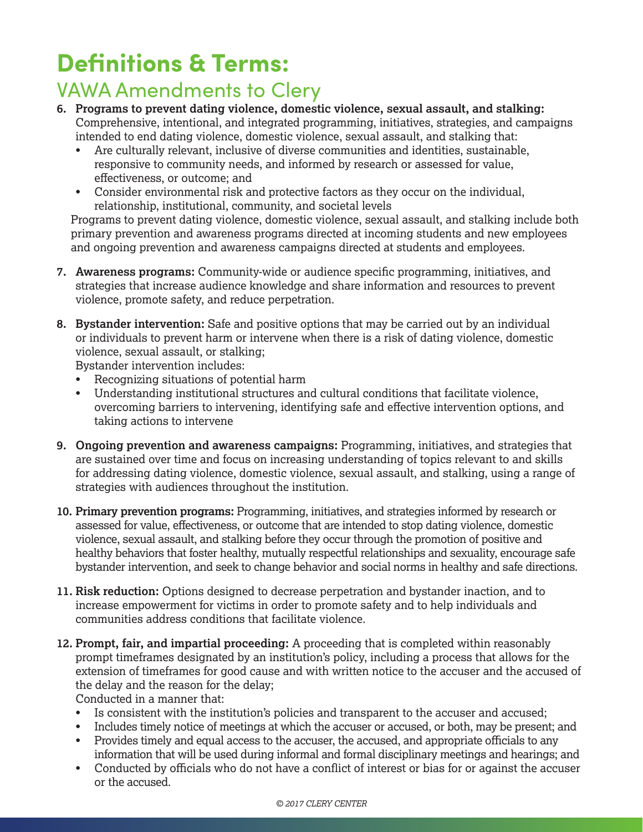# **Definitions & Terms:**

#### VAWA Amendments to Clery

- **6. Programs to prevent dating violence, domestic violence, sexual assault, and stalking:**  Comprehensive, intentional, and integrated programming, initiatives, strategies, and campaigns intended to end dating violence, domestic violence, sexual assault, and stalking that:
	- Are culturally relevant, inclusive of diverse communities and identities, sustainable, responsive to community needs, and informed by research or assessed for value, effectiveness, or outcome; and
	- Consider environmental risk and protective factors as they occur on the individual, relationship, institutional, community, and societal levels

Programs to prevent dating violence, domestic violence, sexual assault, and stalking include both primary prevention and awareness programs directed at incoming students and new employees and ongoing prevention and awareness campaigns directed at students and employees.

- **7. Awareness programs:** Community-wide or audience specific programming, initiatives, and strategies that increase audience knowledge and share information and resources to prevent violence, promote safety, and reduce perpetration.
- **8. Bystander intervention:** Safe and positive options that may be carried out by an individual or individuals to prevent harm or intervene when there is a risk of dating violence, domestic violence, sexual assault, or stalking;

Bystander intervention includes:

- Recognizing situations of potential harm
- Understanding institutional structures and cultural conditions that facilitate violence, overcoming barriers to intervening, identifying safe and effective intervention options, and taking actions to intervene
- **9. Ongoing prevention and awareness campaigns:** Programming, initiatives, and strategies that are sustained over time and focus on increasing understanding of topics relevant to and skills for addressing dating violence, domestic violence, sexual assault, and stalking, using a range of strategies with audiences throughout the institution.
- **10. Primary prevention programs:** Programming, initiatives, and strategies informed by research or assessed for value, effectiveness, or outcome that are intended to stop dating violence, domestic violence, sexual assault, and stalking before they occur through the promotion of positive and healthy behaviors that foster healthy, mutually respectful relationships and sexuality, encourage safe bystander intervention, and seek to change behavior and social norms in healthy and safe directions.
- **11. Risk reduction:** Options designed to decrease perpetration and bystander inaction, and to increase empowerment for victims in order to promote safety and to help individuals and communities address conditions that facilitate violence.
- **12. Prompt, fair, and impartial proceeding:** A proceeding that is completed within reasonably prompt timeframes designated by an institution's policy, including a process that allows for the extension of timeframes for good cause and with written notice to the accuser and the accused of the delay and the reason for the delay;

Conducted in a manner that:

- Is consistent with the institution's policies and transparent to the accuser and accused;
- Includes timely notice of meetings at which the accuser or accused, or both, may be present; and
- Provides timely and equal access to the accuser, the accused, and appropriate officials to any information that will be used during informal and formal disciplinary meetings and hearings; and
- Conducted by officials who do not have a conflict of interest or bias for or against the accuser or the accused.

#### *© 2017 CLERY CENTER*